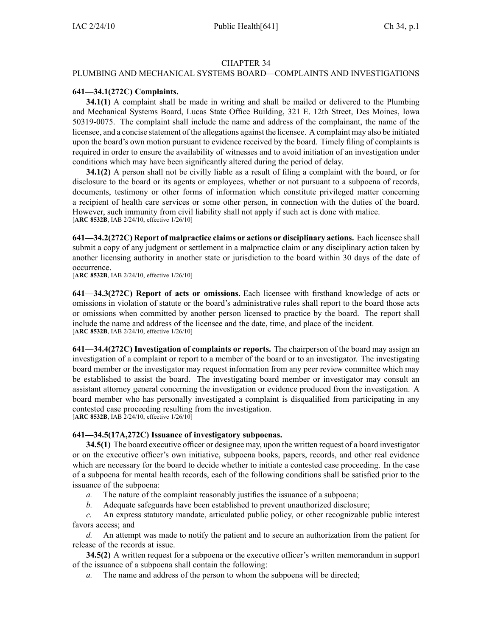## CHAPTER 34

## PLUMBING AND MECHANICAL SYSTEMS BOARD—COMPLAINTS AND INVESTIGATIONS

## **641—34.1(272C) Complaints.**

**34.1(1)** A complaint shall be made in writing and shall be mailed or delivered to the Plumbing and Mechanical Systems Board, Lucas State Office Building, 321 E. 12th Street, Des Moines, Iowa 50319-0075. The complaint shall include the name and address of the complainant, the name of the licensee, and <sup>a</sup> concise statement of the allegations against the licensee. A complaint may also be initiated upon the board's own motion pursuan<sup>t</sup> to evidence received by the board. Timely filing of complaints is required in order to ensure the availability of witnesses and to avoid initiation of an investigation under conditions which may have been significantly altered during the period of delay.

**34.1(2)** A person shall not be civilly liable as <sup>a</sup> result of filing <sup>a</sup> complaint with the board, or for disclosure to the board or its agents or employees, whether or not pursuan<sup>t</sup> to <sup>a</sup> subpoena of records, documents, testimony or other forms of information which constitute privileged matter concerning <sup>a</sup> recipient of health care services or some other person, in connection with the duties of the board. However, such immunity from civil liability shall not apply if such act is done with malice. [**ARC 8532B**, IAB 2/24/10, effective 1/26/10]

**641—34.2(272C) Report of malpractice claims or actions or disciplinary actions.** Each licensee shall submit <sup>a</sup> copy of any judgment or settlement in <sup>a</sup> malpractice claim or any disciplinary action taken by another licensing authority in another state or jurisdiction to the board within 30 days of the date of occurrence.

[**ARC 8532B**, IAB 2/24/10, effective 1/26/10]

**641—34.3(272C) Report of acts or omissions.** Each licensee with firsthand knowledge of acts or omissions in violation of statute or the board's administrative rules shall repor<sup>t</sup> to the board those acts or omissions when committed by another person licensed to practice by the board. The repor<sup>t</sup> shall include the name and address of the licensee and the date, time, and place of the incident. [**ARC 8532B**, IAB 2/24/10, effective 1/26/10]

**641—34.4(272C) Investigation of complaints or reports.** The chairperson of the board may assign an investigation of <sup>a</sup> complaint or repor<sup>t</sup> to <sup>a</sup> member of the board or to an investigator. The investigating board member or the investigator may reques<sup>t</sup> information from any peer review committee which may be established to assist the board. The investigating board member or investigator may consult an assistant attorney general concerning the investigation or evidence produced from the investigation. A board member who has personally investigated <sup>a</sup> complaint is disqualified from participating in any contested case proceeding resulting from the investigation. [**ARC 8532B**, IAB 2/24/10, effective 1/26/10]

**641—34.5(17A,272C) Issuance of investigatory subpoenas.**

**34.5(1)** The board executive officer or designee may, upon the written reques<sup>t</sup> of <sup>a</sup> board investigator or on the executive officer's own initiative, subpoena books, papers, records, and other real evidence which are necessary for the board to decide whether to initiate <sup>a</sup> contested case proceeding. In the case of <sup>a</sup> subpoena for mental health records, each of the following conditions shall be satisfied prior to the issuance of the subpoena:

- *a.* The nature of the complaint reasonably justifies the issuance of <sup>a</sup> subpoena;
- *b.* Adequate safeguards have been established to preven<sup>t</sup> unauthorized disclosure;

*c.* An express statutory mandate, articulated public policy, or other recognizable public interest favors access; and

*d.* An attempt was made to notify the patient and to secure an authorization from the patient for release of the records at issue.

**34.5(2)** A written reques<sup>t</sup> for <sup>a</sup> subpoena or the executive officer's written memorandum in suppor<sup>t</sup> of the issuance of <sup>a</sup> subpoena shall contain the following:

*a.* The name and address of the person to whom the subpoena will be directed;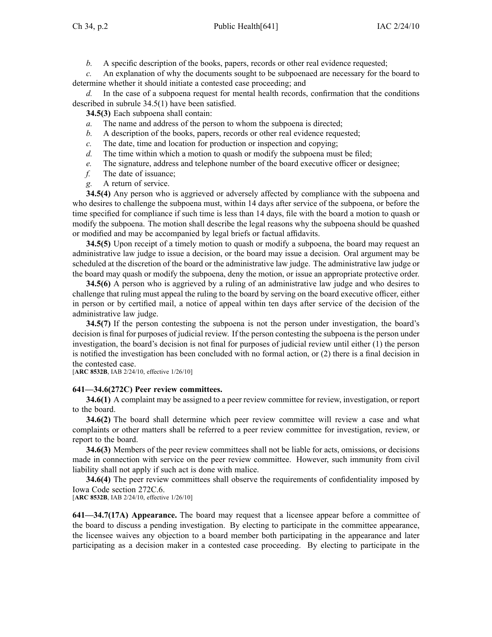*b.* A specific description of the books, papers, records or other real evidence requested;

*c.* An explanation of why the documents sought to be subpoenaed are necessary for the board to determine whether it should initiate <sup>a</sup> contested case proceeding; and

*d.* In the case of <sup>a</sup> subpoena reques<sup>t</sup> for mental health records, confirmation that the conditions described in subrule 34.5(1) have been satisfied.

**34.5(3)** Each subpoena shall contain:

- *a.* The name and address of the person to whom the subpoena is directed;
- *b.* A description of the books, papers, records or other real evidence requested;
- *c.* The date, time and location for production or inspection and copying;
- *d.* The time within which a motion to quash or modify the subpoena must be filed;
- *e.* The signature, address and telephone number of the board executive officer or designee;
- *f.* The date of issuance;
- *g.* A return of service.

**34.5(4)** Any person who is aggrieved or adversely affected by compliance with the subpoena and who desires to challenge the subpoena must, within 14 days after service of the subpoena, or before the time specified for compliance if such time is less than 14 days, file with the board <sup>a</sup> motion to quash or modify the subpoena. The motion shall describe the legal reasons why the subpoena should be quashed or modified and may be accompanied by legal briefs or factual affidavits.

**34.5(5)** Upon receipt of <sup>a</sup> timely motion to quash or modify <sup>a</sup> subpoena, the board may reques<sup>t</sup> an administrative law judge to issue <sup>a</sup> decision, or the board may issue <sup>a</sup> decision. Oral argumen<sup>t</sup> may be scheduled at the discretion of the board or the administrative law judge. The administrative law judge or the board may quash or modify the subpoena, deny the motion, or issue an appropriate protective order.

**34.5(6)** A person who is aggrieved by <sup>a</sup> ruling of an administrative law judge and who desires to challenge that ruling must appeal the ruling to the board by serving on the board executive officer, either in person or by certified mail, <sup>a</sup> notice of appeal within ten days after service of the decision of the administrative law judge.

**34.5(7)** If the person contesting the subpoena is not the person under investigation, the board's decision is final for purposes of judicial review. If the person contesting the subpoena is the person under investigation, the board's decision is not final for purposes of judicial review until either (1) the person is notified the investigation has been concluded with no formal action, or (2) there is <sup>a</sup> final decision in the contested case.

[**ARC 8532B**, IAB 2/24/10, effective 1/26/10]

## **641—34.6(272C) Peer review committees.**

**34.6(1)** A complaint may be assigned to <sup>a</sup> peer review committee for review, investigation, or repor<sup>t</sup> to the board.

**34.6(2)** The board shall determine which peer review committee will review <sup>a</sup> case and what complaints or other matters shall be referred to <sup>a</sup> peer review committee for investigation, review, or repor<sup>t</sup> to the board.

**34.6(3)** Members of the peer review committees shall not be liable for acts, omissions, or decisions made in connection with service on the peer review committee. However, such immunity from civil liability shall not apply if such act is done with malice.

**34.6(4)** The peer review committees shall observe the requirements of confidentiality imposed by Iowa Code section 272C.6.

[**ARC 8532B**, IAB 2/24/10, effective 1/26/10]

**641—34.7(17A) Appearance.** The board may reques<sup>t</sup> that <sup>a</sup> licensee appear before <sup>a</sup> committee of the board to discuss <sup>a</sup> pending investigation. By electing to participate in the committee appearance, the licensee waives any objection to <sup>a</sup> board member both participating in the appearance and later participating as <sup>a</sup> decision maker in <sup>a</sup> contested case proceeding. By electing to participate in the